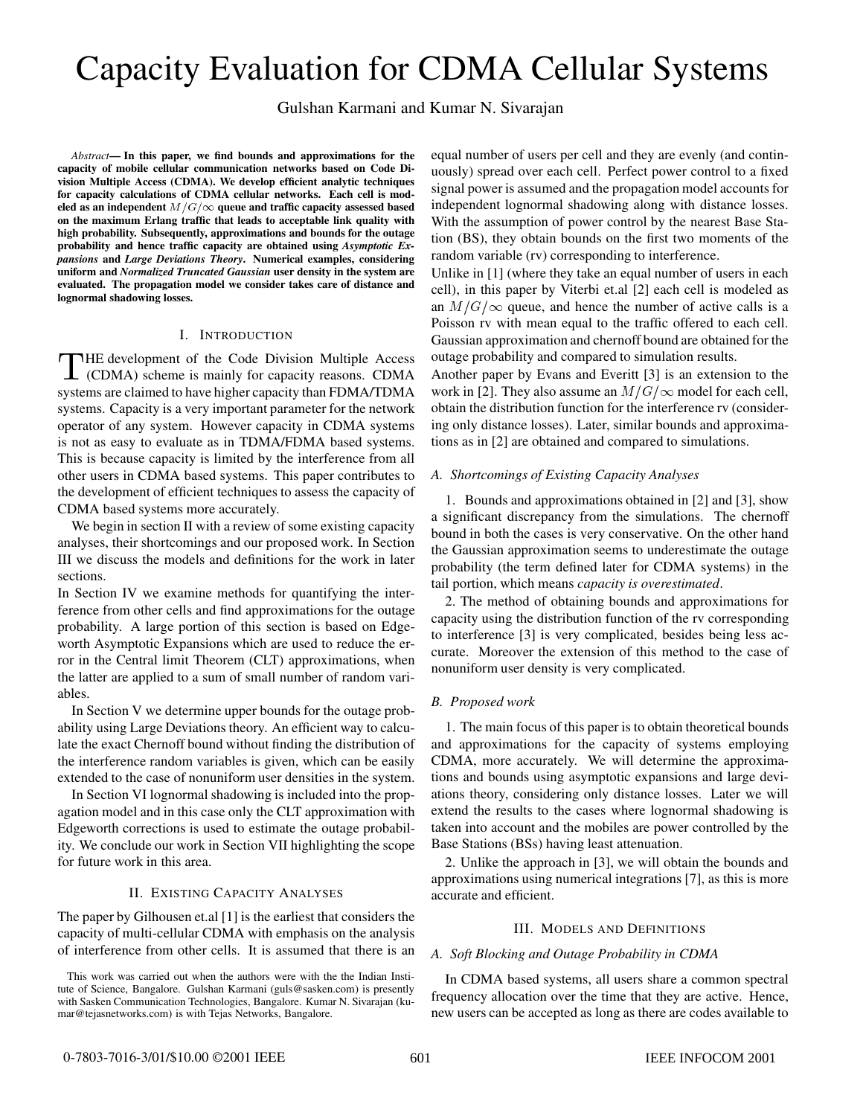# Capacity Evaluation for CDMA Cellular Systems

Gulshan Karmani and Kumar N. Sivarajan

*Abstract***— In this paper, we find bounds and approximations for the capacity of mobile cellular communication networks based on Code Division Multiple Access (CDMA). We develop efficient analytic techniques for capacity calculations of CDMA cellular networks. Each cell is mod**eled as an independent  $M/G/\infty$  queue and traffic capacity assessed based **on the maximum Erlang traffic that leads to acceptable link quality with high probability. Subsequently, approximations and bounds for the outage probability and hence traffic capacity are obtained using** *Asymptotic Expansions* **and** *Large Deviations Theory***. Numerical examples, considering uniform and** *Normalized Truncated Gaussian* **user density in the system are evaluated. The propagation model we consider takes care of distance and lognormal shadowing losses.**

# I. INTRODUCTION

THE development of the Code Division Multiple Access (CDMA) scheme is mainly for capacity reasons. CDMA systems are claimed to have higher capacity than FDMA/TDMA systems. Capacity is a very important parameter for the network operator of any system. However capacity in CDMA systems is not as easy to evaluate as in TDMA/FDMA based systems. This is because capacity is limited by the interference from all other users in CDMA based systems. This paper contributes to the development of efficient techniques to assess the capacity of CDMA based systems more accurately.

We begin in section II with a review of some existing capacity analyses, their shortcomings and our proposed work. In Section III we discuss the models and definitions for the work in later sections.

In Section IV we examine methods for quantifying the interference from other cells and find approximations for the outage probability. A large portion of this section is based on Edgeworth Asymptotic Expansions which are used to reduce the error in the Central limit Theorem (CLT) approximations, when the latter are applied to a sum of small number of random variables.

In Section V we determine upper bounds for the outage probability using Large Deviations theory. An efficient way to calculate the exact Chernoff bound without finding the distribution of the interference random variables is given, which can be easily extended to the case of nonuniform user densities in the system.

In Section VI lognormal shadowing is included into the propagation model and in this case only the CLT approximation with Edgeworth corrections is used to estimate the outage probability. We conclude our work in Section VII highlighting the scope for future work in this area.

## II. EXISTING CAPACITY ANALYSES

The paper by Gilhousen et.al [1] is the earliest that considers the capacity of multi-cellular CDMA with emphasis on the analysis of interference from other cells. It is assumed that there is an equal number of users per cell and they are evenly (and continuously) spread over each cell. Perfect power control to a fixed signal power is assumed and the propagation model accounts for independent lognormal shadowing along with distance losses. With the assumption of power control by the nearest Base Station (BS), they obtain bounds on the first two moments of the random variable (rv) corresponding to interference.

Unlike in [1] (where they take an equal number of users in each cell), in this paper by Viterbi et.al [2] each cell is modeled as an  $M/G/\infty$  queue, and hence the number of active calls is a Poisson rv with mean equal to the traffic offered to each cell. Gaussian approximation and chernoff bound are obtained for the outage probability and compared to simulation results.

Another paper by Evans and Everitt [3] is an extension to the work in [2]. They also assume an  $M/G/\infty$  model for each cell, obtain the distribution function for the interference rv (considering only distance losses). Later, similar bounds and approximations as in [2] are obtained and compared to simulations.

#### *A. Shortcomings of Existing Capacity Analyses*

1. Bounds and approximations obtained in [2] and [3], show a significant discrepancy from the simulations. The chernoff bound in both the cases is very conservative. On the other hand the Gaussian approximation seems to underestimate the outage probability (the term defined later for CDMA systems) in the tail portion, which means *capacity is overestimated*.

2. The method of obtaining bounds and approximations for capacity using the distribution function of the rv corresponding to interference [3] is very complicated, besides being less accurate. Moreover the extension of this method to the case of nonuniform user density is very complicated.

## *B. Proposed work*

1. The main focus of this paper is to obtain theoretical bounds and approximations for the capacity of systems employing CDMA, more accurately. We will determine the approximations and bounds using asymptotic expansions and large deviations theory, considering only distance losses. Later we will extend the results to the cases where lognormal shadowing is taken into account and the mobiles are power controlled by the Base Stations (BSs) having least attenuation.

2. Unlike the approach in [3], we will obtain the bounds and approximations using numerical integrations [7], as this is more accurate and efficient.

#### III. MODELS AND DEFINITIONS

## *A. Soft Blocking and Outage Probability in CDMA*

In CDMA based systems, all users share a common spectral frequency allocation over the time that they are active. Hence, new users can be accepted as long as there are codes available to

This work was carried out when the authors were with the the Indian Institute of Science, Bangalore. Gulshan Karmani (guls@sasken.com) is presently with Sasken Communication Technologies, Bangalore. Kumar N. Sivarajan (kumar@tejasnetworks.com) is with Tejas Networks, Bangalore.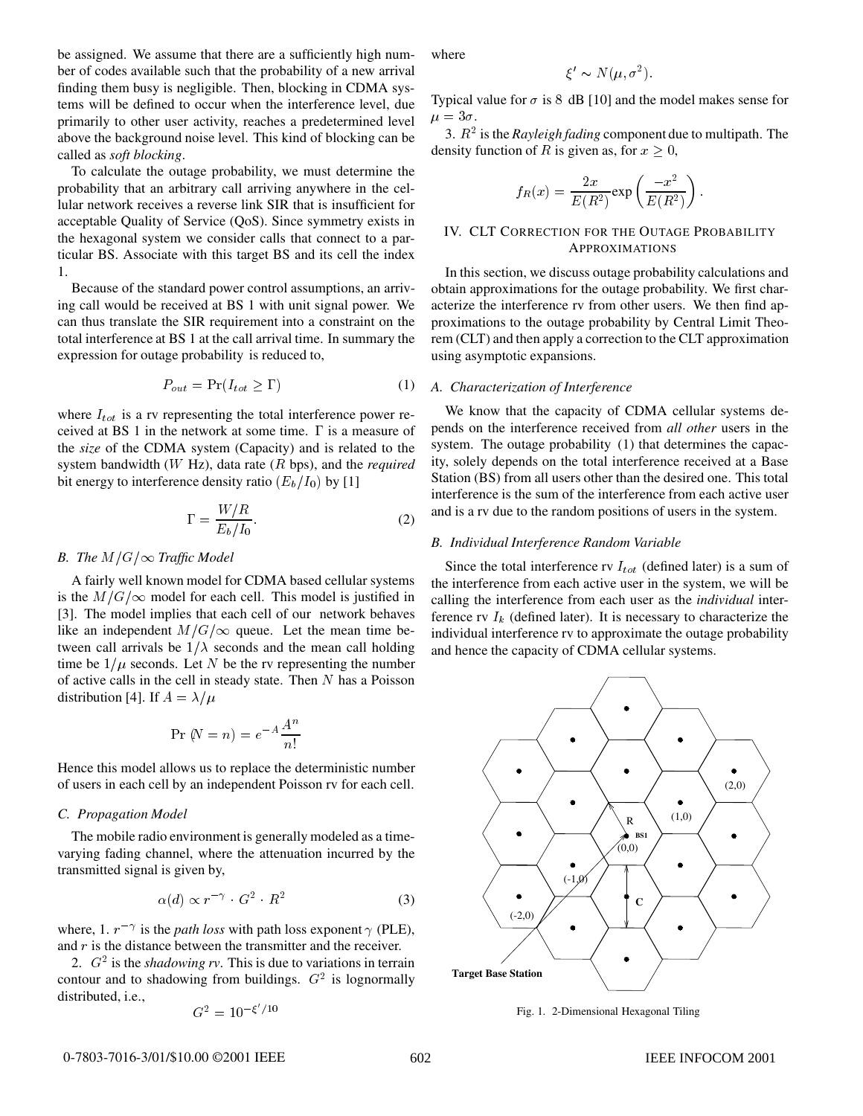be assigned. We assume that there are a sufficiently high number of codes available such that the probability of a new arrival finding them busy is negligible. Then, blocking in CDMA systems will be defined to occur when the interference level, due primarily to other user activity, reaches a predetermined level above the background noise level. This kind of blocking can be called as *soft blocking*.

To calculate the outage probability, we must determine the probability that an arbitrary call arriving anywhere in the cellular network receives a reverse link SIR that is insufficient for acceptable Quality of Service (QoS). Since symmetry exists in the hexagonal system we consider calls that connect to a particular BS. Associate with this target BS and its cell the index 1.

Because of the standard power control assumptions, an arriving call would be received at BS 1 with unit signal power. We can thus translate the SIR requirement into a constraint on the total interference at BS 1 at the call arrival time. In summary the expression for outage probability is reduced to,

$$
P_{out} = \Pr(I_{tot} \ge \Gamma) \tag{1}
$$

where  $I_{tot}$  is a rv representing the total interference power received at BS 1 in the network at some time.  $\Gamma$  is a measure of the *size* of the CDMA system (Capacity) and is related to the system bandwidth (W Hz), data rate (R bps), and the *required* bit energy to interference density ratio  $(E_b/I_0)$  by [1]

$$
\Gamma = \frac{W/R}{E_b/I_0}.\tag{2}
$$

# *B. The*  $M/G/\infty$  *Traffic Model*

A fairly well known model for CDMA based cellular systems is the  $M/G/\infty$  model for each cell. This model is justified in [3]. The model implies that each cell of our network behaves like an independent  $M/G/\infty$  queue. Let the mean time between call arrivals be  $1/\lambda$  seconds and the mean call holding time be  $1/\mu$  seconds. Let N be the rv representing the number of active calls in the cell in steady state. Then  $N$  has a Poisson distribution [4]. If  $A = \lambda/\mu$ 

$$
\Pr(N = n) = e^{-A} \frac{A^n}{n!}
$$

Hence this model allows us to replace the deterministic number of users in each cell by an independent Poisson rv for each cell.

# *C. Propagation Model*

The mobile radio environment is generally modeled as a timevarying fading channel, where the attenuation incurred by the transmitted signal is given by,

$$
\alpha(d) \propto r^{-\gamma} \cdot G^2 \cdot R^2 \tag{3}
$$

where, 1.  $r^{-\gamma}$  is the *path loss* with path loss exponent  $\gamma$  (PLE), and  $r$  is the distance between the transmitter and the receiver.

2.  $G<sup>2</sup>$  is the *shadowing rv*. This is due to variations in terrain contour and to shadowing from buildings.  $G<sup>2</sup>$  is lognormally distributed, i.e.,

$$
G^2 = 10^{-\xi'/10}
$$

where

$$
\xi' \sim N(\mu, \sigma^2).
$$

Typical value for  $\sigma$  is 8 dB [10] and the model makes sense for  $\mu = 3\sigma.$ 

3.  $R^2$  is the *Rayleigh fading* component due to multipath. The density function of R is given as, for  $x \geq 0$ ,

$$
f_R(x) = \frac{2x}{E(R^2)} \exp\left(\frac{-x^2}{E(R^2)}\right).
$$

# IV. CLT CORRECTION FOR THE OUTAGE PROBABILITY APPROXIMATIONS

In this section, we discuss outage probability calculations and obtain approximations for the outage probability. We first characterize the interference rv from other users. We then find approximations to the outage probability by Central Limit Theorem (CLT) and then apply a correction to the CLT approximation using asymptotic expansions.

# *A. Characterization of Interference*

We know that the capacity of CDMA cellular systems depends on the interference received from *all other* users in the system. The outage probability (1) that determines the capacity, solely depends on the total interference received at a Base Station (BS) from all users other than the desired one. This total interference is the sum of the interference from each active user and is a rv due to the random positions of users in the system.

## *B. Individual Interference Random Variable*

Since the total interference rv  $I_{tot}$  (defined later) is a sum of the interference from each active user in the system, we will be calling the interference from each user as the *individual* interference rv  $I_k$  (defined later). It is necessary to characterize the individual interference rv to approximate the outage probability and hence the capacity of CDMA cellular systems.



Fig. 1. 2-Dimensional Hexagonal Tiling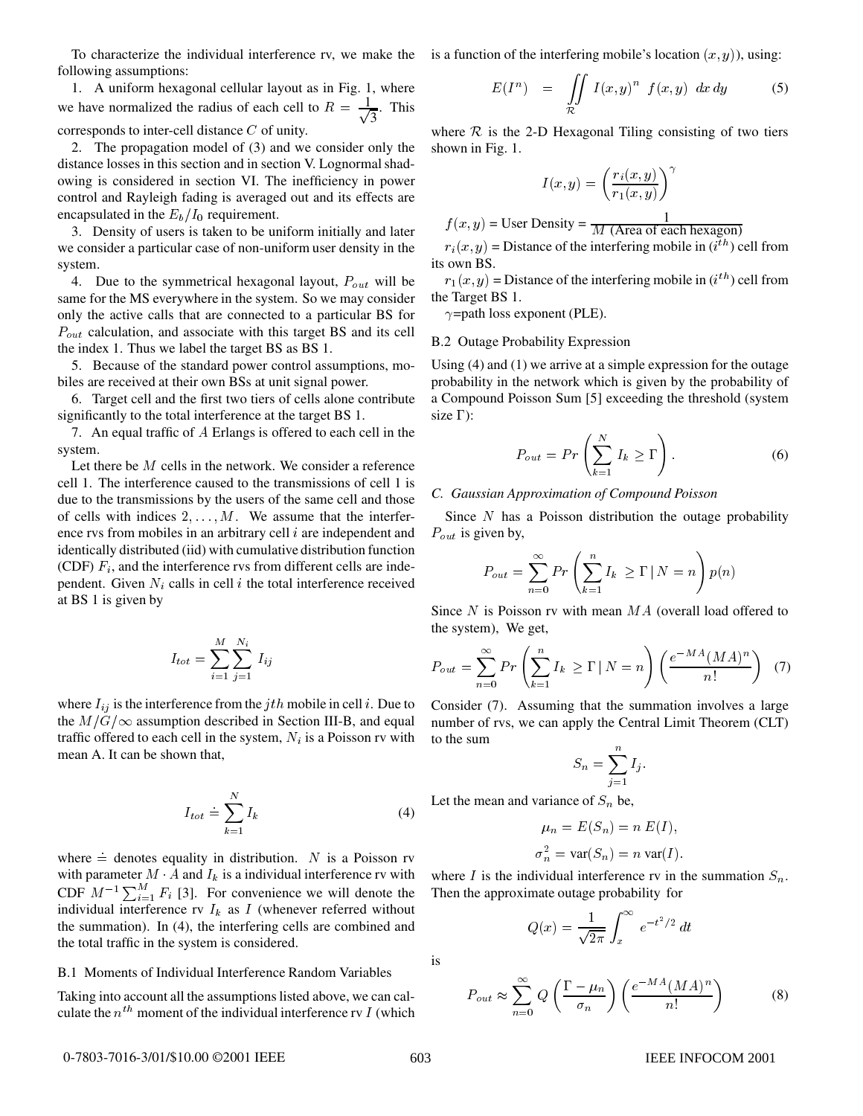following assumptions:

1. A uniform hexagonal cellular layout as in Fig. 1, where we have normalized the radius of each cell to  $R = \frac{1}{\sqrt{2}}$ . This  $\frac{1}{3}$ . This corresponds to inter-cell distance <sup>C</sup> of unity.

2. The propagation model of (3) and we consider only the distance losses in this section and in section V. Lognormal shadowing is considered in section VI. The inefficiency in power control and Rayleigh fading is averaged out and its effects are encapsulated in the  $E_b/I_0$  requirement.

3. Density of users is taken to be uniform initially and later we consider a particular case of non-uniform user density in the system.

4. Due to the symmetrical hexagonal layout,  $P_{out}$  will be same for the MS everywhere in the system. So we may consider only the active calls that are connected to a particular BS for  $P_{out}$  calculation, and associate with this target BS and its cell the index 1. Thus we label the target BS as BS 1.

5. Because of the standard power control assumptions, mobiles are received at their own BSs at unit signal power.

6. Target cell and the first two tiers of cells alone contribute significantly to the total interference at the target BS 1.

7. An equal traffic of <sup>A</sup> Erlangs is offered to each cell in the system.

Let there be <sup>M</sup> cells in the network. We consider a reference cell 1. The interference caused to the transmissions of cell 1 is due to the transmissions by the users of the same cell and those of cells with indices  $2, \ldots, M$ . We assume that the interference rvs from mobiles in an arbitrary cell  $i$  are independent and identically distributed (iid) with cumulative distribution function (CDF)  $F_i$ , and the interference rvs from different cells are independent. Given  $N_i$  calls in cell i the total interference received at BS 1 is given by

$$
I_{tot}=\sum_{i=1}^M\sum_{j=1}^{N_i}\,I_{ij}
$$

where  $I_{ij}$  is the interference from the jth mobile in cell i. Due to the  $M/G/\infty$  assumption described in Section III-B, and equal traffic offered to each cell in the system,  $N_i$  is a Poisson rv with mean A. It can be shown that,

$$
I_{tot} \doteq \sum_{k=1}^{N} I_k \tag{4}
$$

where  $=$  denotes equality in distribution. N is a Poisson rv with parameter  $M \cdot A$  and  $I_k$  is a individual interference rv with CDF  $M^{-1} \sum_{i=1}^{M} F_i$  [3]. For convenience we will denote the individual interference rv  $I_k$  as I (whenever referred without the summation). In (4), the interfering cells are combined and the total traffic in the system is considered.

#### B.1 Moments of Individual Interference Random Variables

Taking into account all the assumptions listed above, we can calculate the  $n^{th}$  moment of the individual interference rv I (which

To characterize the individual interference rv, we make the is a function of the interfering mobile's location  $(x, y)$ ), using:

$$
E(I^n) = \iint\limits_{\mathcal{R}} I(x, y)^n f(x, y) dx dy
$$
 (5)

where  $R$  is the 2-D Hexagonal Tiling consisting of two tiers shown in Fig. 1.

$$
I(x,y) = \left(\frac{r_i(x,y)}{r_1(x,y)}\right)^{\gamma}
$$

$$
f(x, y) =
$$
User Density =  $\frac{1}{M \text{ (Area of each hexagon)}}$ 

 $r_i(x, y)$  = Distance of the interfering mobile in  $(i<sup>th</sup>)$  cell from its own BS.

 $r_1(x, y)$  = Distance of the interfering mobile in  $(i<sup>th</sup>)$  cell from the Target BS 1.

 $\gamma$ =path loss exponent (PLE).

## B.2 Outage Probability Expression

Using (4) and (1) we arrive at a simple expression for the outage probability in the network which is given by the probability of a Compound Poisson Sum [5] exceeding the threshold (system size  $\Gamma$ :

$$
P_{out} = Pr\left(\sum_{k=1}^{N} I_k \ge \Gamma\right). \tag{6}
$$

#### *C. Gaussian Approximation of Compound Poisson*

Since  $N$  has a Poisson distribution the outage probability  $P_{out}$  is given by,

$$
P_{out} = \sum_{n=0}^{\infty} Pr\left(\sum_{k=1}^{n} I_k \ge \Gamma \mid N = n\right) p(n)
$$

Since  $N$  is Poisson rv with mean  $MA$  (overall load offered to the system), We get,

$$
P_{out} = \sum_{n=0}^{\infty} Pr\left(\sum_{k=1}^{n} I_k \ge \Gamma \mid N = n\right) \left(\frac{e^{-MA}(MA)^n}{n!}\right) (7)
$$

Consider (7). Assuming that the summation involves a large number of rvs, we can apply the Central Limit Theorem (CLT) to the sum

$$
S_n = \sum_{j=1}^n I_j.
$$

Let the mean and variance of  $S_n$  be,

$$
\mu_n = E(S_n) = n E(I),
$$
  

$$
\sigma_n^2 = \text{var}(S_n) = n \text{ var}(I).
$$

where I is the individual interference rv in the summation  $S_n$ . Then the approximate outage probability for

$$
Q(x) = \frac{1}{\sqrt{2\pi}} \int_x^{\infty} e^{-t^2/2} dt
$$

$$
P_{out} \approx \sum_{n=0}^{\infty} Q\left(\frac{\Gamma - \mu_n}{\sigma_n}\right) \left(\frac{e^{-MA}(MA)^n}{n!}\right) \tag{8}
$$

is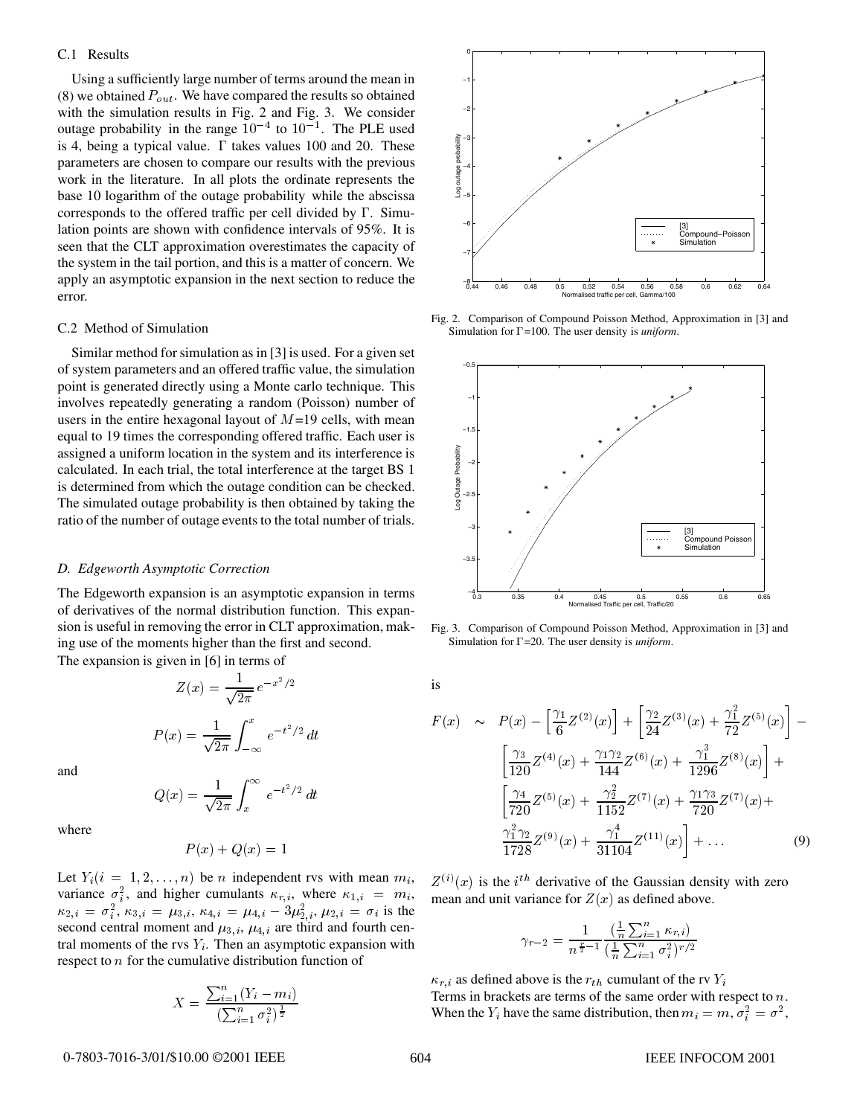#### C.1 Results

Using a sufficiently large number of terms around the mean in (8) we obtained  $P_{out}$ . We have compared the results so obtained with the simulation results in Fig. 2 and Fig. 3. We consider outage probability in the range  $10^{-4}$  to  $10^{-1}$ . The PLE used is 4, being a typical value.  $\Gamma$  takes values 100 and 20. These parameters are chosen to compare our results with the previous work in the literature. In all plots the ordinate represents the base 10 logarithm of the outage probability while the abscissa corresponds to the offered traffic per cell divided by  $\Gamma$ . Simulation points are shown with confidence intervals of 95%. It is seen that the CLT approximation overestimates the capacity of the system in the tail portion, and this is a matter of concern. We apply an asymptotic expansion in the next section to reduce the error.

## C.2 Method of Simulation

Similar method for simulation as in [3] is used. For a given set of system parameters and an offered traffic value, the simulation point is generated directly using a Monte carlo technique. This involves repeatedly generating a random (Poisson) number of users in the entire hexagonal layout of  $M=19$  cells, with mean equal to 19 times the corresponding offered traffic. Each user is assigned a uniform location in the system and its interference is calculated. In each trial, the total interference at the target BS 1 is determined from which the outage condition can be checked. The simulated outage probability is then obtained by taking the ratio of the number of outage events to the total number of trials.

#### *D. Edgeworth Asymptotic Correction*

The Edgeworth expansion is an asymptotic expansion in terms of derivatives of the normal distribution function. This expansion is useful in removing the error in CLT approximation, making use of the moments higher than the first and second.

The expansion is given in [6] in terms of

$$
Z(x) = \frac{1}{\sqrt{2\pi}} e^{-x^2/2}
$$

$$
P(x) = \frac{1}{\sqrt{2\pi}} \int_{-\infty}^{x} e^{-t^2/2} dt
$$

and

$$
Q(x) = \frac{1}{\sqrt{2\pi}} \int_x^{\infty} e^{-t^2/2} dt
$$

where

$$
P(x) + Q(x) = 1
$$

Let  $Y_i(i = 1, 2, \ldots, n)$  be *n* independent rvs with mean  $m_i$ , variance  $\sigma_i^2$ , and higher cumulants  $\kappa_{r,i}$ , where  $\kappa_{1,i} = m_i$ , mean  $\kappa_{2,i} = \sigma_i^2$ ,  $\kappa_{3,i} = \mu_{3,i}$ ,  $\kappa_{4,i} = \mu_{4,i} - 3\mu_{2,i}^2$ ,  $\mu_{2,i} = \sigma_i$  is the second central moment and  $\mu_{3,i}$ ,  $\mu_{4,i}$  are third and fourth central moments of the rvs  $Y_i$ . Then an asymptotic expansion with respect to <sup>n</sup> for the cumulative distribution function of

$$
X = \frac{\sum_{i=1}^{n} (Y_i - m_i)}{(\sum_{i=1}^{n} \sigma_i^2)^{\frac{1}{2}}}
$$



Fig. 2. Comparison of Compound Poisson Method, Approximation in [3] and Simulation for  $\Gamma$ =100. The user density is *uniform*.



Fig. 3. Comparison of Compound Poisson Method, Approximation in [3] and Simulation for  $\Gamma$ =20. The user density is *uniform*.

is

$$
F(x) \sim P(x) - \left[\frac{\gamma_1}{6} Z^{(2)}(x)\right] + \left[\frac{\gamma_2}{24} Z^{(3)}(x) + \frac{\gamma_1^2}{72} Z^{(5)}(x)\right] - \left[\frac{\gamma_3}{120} Z^{(4)}(x) + \frac{\gamma_1 \gamma_2}{144} Z^{(6)}(x) + \frac{\gamma_1^3}{1296} Z^{(8)}(x)\right] + \left[\frac{\gamma_4}{720} Z^{(5)}(x) + \frac{\gamma_2^2}{1152} Z^{(7)}(x) + \frac{\gamma_1 \gamma_3}{720} Z^{(7)}(x) + \frac{\gamma_1^2 \gamma_2}{1728} Z^{(9)}(x) + \frac{\gamma_1^4}{31104} Z^{(11)}(x)\right] + \dots
$$
\n(9)

 $Z^{(i)}(x)$  is the i<sup>th</sup> derivative of the Gaussian density with zero mean and unit variance for  $Z(x)$  as defined above.

$$
\gamma_{r-2} = \frac{1}{n^{\frac{r}{2}-1}} \frac{\left(\frac{1}{n}\sum_{i=1}^{n}\kappa_{r,i}\right)}{\left(\frac{1}{n}\sum_{i=1}^{n}\sigma_i^2\right)^{r/2}}
$$

 $\kappa_{r,i}$  as defined above is the  $r_{th}$  cumulant of the rv  $Y_i$ Terms in brackets are terms of the same order with respect to n. When the  $Y_i$  have the same distribution, then  $m_i = m$ ,  $\sigma_i^2 = \sigma^2$ ,

#### 0-7803-7016-3/01/\$10.00 ©2001 IEEE

#### 604 IEEE INFOCOM 2001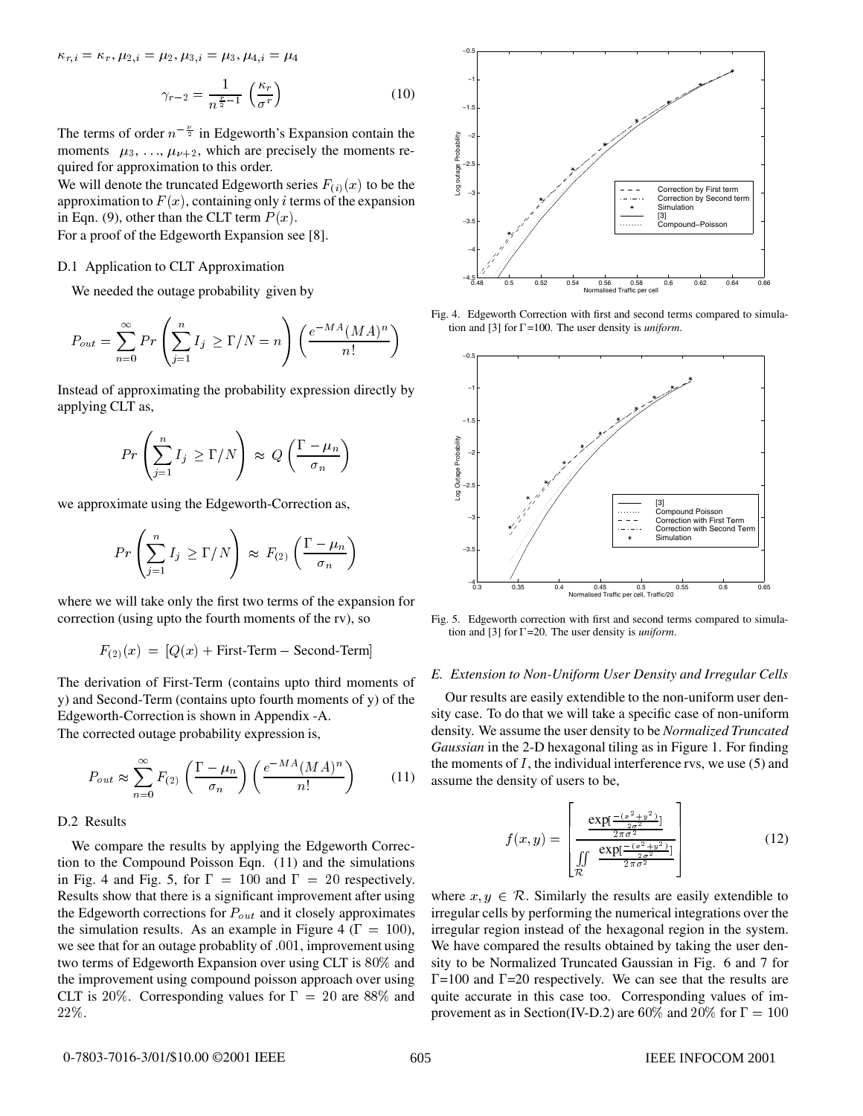$\kappa_{r,i} = \kappa_r, \mu_{2,i} = \mu_2, \mu_{3,i} = \mu_3, \mu_{4,i} = \mu_4$ 

$$
\gamma_{r-2} = \frac{1}{n^{\frac{r}{2}-1}} \left( \frac{\kappa_r}{\sigma^r} \right) \tag{10}
$$

The terms of order  $n^{-\frac{\nu}{2}}$  in Edgeworth's Expansion contain the moments  $\mu_3, \ldots, \mu_{\nu+2}$ , which are precisely the moments required for approximation to this order.

We will denote the truncated Edgeworth series  $F_{(i)}(x)$  to be the approximation to  $F(x)$ , containing only *i* terms of the expansion in Eqn. (9), other than the CLT term  $P(x)$ .

For a proof of the Edgeworth Expansion see [8].

#### D.1 Application to CLT Approximation

We needed the outage probability given by

$$
P_{out} = \sum_{n=0}^{\infty} Pr\left(\sum_{j=1}^{n} I_j \ge \Gamma/N = n\right) \left(\frac{e^{-MA}(MA)^n}{n!}\right)
$$

Instead of approximating the probability expression directly by applying CLT as,

$$
Pr\left(\sum_{j=1}^{n} I_j \ge \Gamma/N\right) \approx Q\left(\frac{\Gamma-\mu_n}{\sigma_n}\right)
$$

we approximate using the Edgeworth-Correction as,

$$
Pr\left(\sum_{j=1}^{n} I_j \ge \Gamma/N\right) \approx F_{(2)}\left(\frac{\Gamma - \mu_n}{\sigma_n}\right)
$$

where we will take only the first two terms of the expansion for correction (using upto the fourth moments of the rv), so

$$
F_{(2)}(x) = [Q(x) + \text{First-Term} - \text{Second-Term}]
$$

The derivation of First-Term (contains upto third moments of y) and Second-Term (contains upto fourth moments of y) of the Edgeworth-Correction is shown in Appendix -A. The corrected outage probability expression is,

$$
P_{out} \approx \sum_{n=0}^{\infty} F_{(2)} \left( \frac{\Gamma - \mu_n}{\sigma_n} \right) \left( \frac{e^{-MA} (MA)^n}{n!} \right) \tag{11}
$$

# D.2 Results

We compare the results by applying the Edgeworth Correction to the Compound Poisson Eqn. (11) and the simulations in Fig. 4 and Fig. 5, for  $\Gamma = 100$  and  $\Gamma = 20$  respectively. Results show that there is a significant improvement after using the Edgeworth corrections for  $P_{out}$  and it closely approximates the simulation results. As an example in Figure 4 ( $\Gamma = 100$ ), we see that for an outage probablity of :001, improvement using two terms of Edgeworth Expansion over using CLT is 80% and the improvement using compound poisson approach over using CLT is 20%. Corresponding values for  $\Gamma = 20$  are 88% and 22%.



Fig. 4. Edgeworth Correction with first and second terms compared to simulation and  $[3]$  for  $\Gamma$ =100. The user density is *uniform*.



Fig. 5. Edgeworth correction with first and second terms compared to simulation and [3] for  $\Gamma$ =20. The user density is *uniform*.

#### *E. Extension to Non-Uniform User Density and Irregular Cells*

Our results are easily extendible to the non-uniform user density case. To do that we will take a specific case of non-uniform density. We assume the user density to be *Normalized Truncated Gaussian* in the 2-D hexagonal tiling as in Figure 1. For finding the moments of  $I$ , the individual interference rvs, we use  $(5)$  and assume the density of users to be,

 $\overline{2}$  2  $\overline{2}$  2  $\overline{2}$  2  $\overline{2}$  2  $\overline{2}$  2  $\overline{2}$  2  $\overline{2}$  2  $\overline{2}$  2  $\overline{2}$  2  $\overline{2}$  2  $\overline{2}$  2  $\overline{2}$  2  $\overline{2}$  2  $\overline{2}$  2  $\overline{2}$  2  $\overline{2}$  2  $\overline{2}$  2  $\overline{2}$  2  $\overline{2}$  2  $\overline{2}$  2

$$
f(x,y) = \left[\frac{\frac{\exp[-\frac{(x^2+y^2)}{2\sigma^2}]}{2\pi\sigma^2}}{\iint\limits_{\mathcal{R}} \frac{\exp[-\frac{(x^2+y^2)}{2\sigma^2}]}{2\pi\sigma^2}}\right]
$$
(12)

where  $x, y \in \mathcal{R}$ . Similarly the results are easily extendible to irregular cells by performing the numerical integrations over the irregular region instead of the hexagonal region in the system. We have compared the results obtained by taking the user density to be Normalized Truncated Gaussian in Fig. 6 and 7 for  $\Gamma$ =100 and  $\Gamma$ =20 respectively. We can see that the results are quite accurate in this case too. Corresponding values of improvement as in Section(IV-D.2) are 60% and 20% for  $\Gamma = 100$ 

3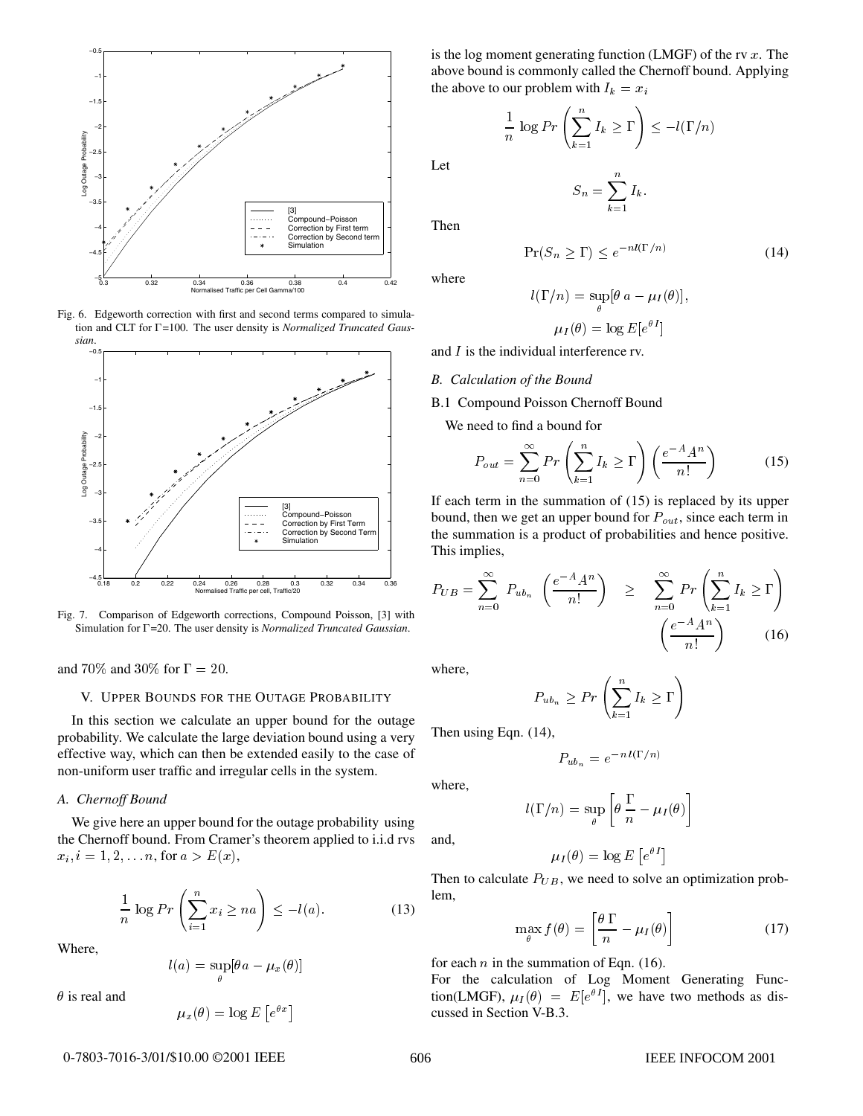

Fig. 6. Edgeworth correction with first and second terms compared to simulation and CLT for  $\Gamma$ =100. The user density is *Normalized Truncated Gaussian*.



Fig. 7. Comparison of Edgeworth corrections, Compound Poisson, [3] with Simulation for  $\Gamma$ =20. The user density is *Normalized Truncated Gaussian*.

and 70% and 30% for  $\Gamma = 20$ .

# V. UPPER BOUNDS FOR THE OUTAGE PROBABILITY

In this section we calculate an upper bound for the outage probability. We calculate the large deviation bound using a very effective way, which can then be extended easily to the case of non-uniform user traffic and irregular cells in the system.

## *A. Chernoff Bound*

We give here an upper bound for the outage probability using the Chernoff bound. From Cramer's theorem applied to i.i.d rvs  $x_i, i = 1, 2, \ldots n$ , for  $a > E(x)$ ,

$$
\frac{1}{n}\log Pr\left(\sum_{i=1}^{n}x_i\ge na\right)\le-l(a). \tag{13}
$$

 $\mu_x(\theta) = \log E\left[e^{\theta x}\right]$ 

Where,

$$
l(a) = \sup_{\theta} [\theta a - \mu_x(\theta)]
$$

 $\theta$  is real and

is the log moment generating function (LMGF) of the rv 
$$
x
$$
. The above bound is commonly called the Chernoff bound. Applying the above to our problem with  $I_k = x_i$ 

 $S_n = \sum I_k$ .

 $I_k > \Gamma$  <  $-l(\Gamma/n)$ 

(14)

Let

Then

where

$$
l(\Gamma/n) = \sup_{\theta} [\theta a - \mu_I(\theta)],
$$

$$
\mu_I(\theta) = \log E[e^{\theta I}]
$$

 $\Pr(S_n \geq \Gamma) \leq e^{-nl(\Gamma/n)}$ 

and I is the individual interference rv.

- - - -

 $\frac{1}{n} \log Pr \left( \sum_{k=1}^{n} I_k \geq \Gamma \right)$ 

#### *B. Calculation of the Bound*

B.1 Compound Poisson Chernoff Bound

We need to find a bound for

$$
P_{out} = \sum_{n=0}^{\infty} Pr\left(\sum_{k=1}^{n} I_k \ge \Gamma\right) \left(\frac{e^{-A} A^n}{n!}\right) \tag{15}
$$

If each term in the summation of (15) is replaced by its upper bound, then we get an upper bound for  $P_{out}$ , since each term in the summation is a product of probabilities and hence positive. This implies,

$$
P_{UB} = \sum_{n=0}^{\infty} P_{ub_n} \left( \frac{e^{-A} A^n}{n!} \right) \ge \sum_{n=0}^{\infty} Pr \left( \sum_{k=1}^n I_k \ge \Gamma \right)
$$

$$
\left( \frac{e^{-A} A^n}{n!} \right) \qquad (16)
$$

where,

$$
P_{ub_n} \ge Pr\left(\sum_{k=1}^n I_k \ge \Gamma\right)
$$

Then using Eqn. (14),

$$
P_{ub_n} = e^{-n l(\Gamma/n)}
$$

where,

$$
l(\Gamma/n) = \sup_{\theta} \left[ \theta \, \frac{\Gamma}{n} - \mu_I(\theta) \right]
$$

and,

$$
\mu_I(\theta) = \log E \left[ e^{\theta I} \right]
$$

Then to calculate  $P_{UB}$ , we need to solve an optimization problem,

$$
\max_{\theta} f(\theta) = \left[ \frac{\theta \Gamma}{n} - \mu_I(\theta) \right] \tag{17}
$$

for each *n* in the summation of Eqn. (16).

For the calculation of Log Moment Generating Function(LMGF),  $\mu_I(\theta) = E[e^{\theta I}]$ , we have two methods as discussed in Section V-B.3.

#### 0-7803-7016-3/01/\$10.00 ©2001 IEEE

#### 606 IEEE INFOCOM 2001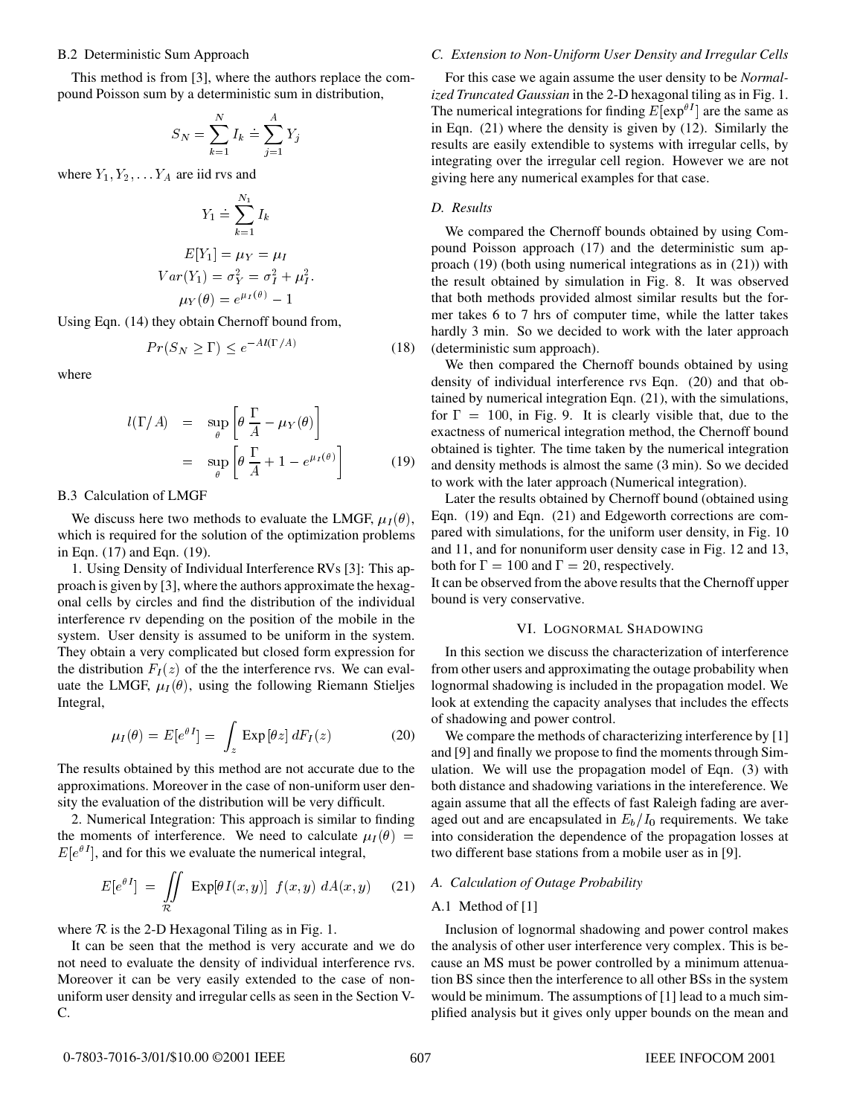#### B.2 Deterministic Sum Approach

This method is from [3], where the authors replace the compound Poisson sum by a deterministic sum in distribution,

$$
S_N = \sum_{k=1}^{N} I_k = \sum_{j=1}^{A} Y_j
$$

where  $Y_1, Y_2, \ldots Y_A$  are iid rvs and

$$
Y_1 \doteq \sum_{k=1}^{N_1} I_k
$$
  
\n
$$
E[Y_1] = \mu_Y = \mu_I
$$
  
\n
$$
Var(Y_1) = \sigma_Y^2 = \sigma_I^2 + \mu_I^2.
$$
  
\n
$$
\mu_Y(\theta) = e^{\mu_I(\theta)} - 1
$$

Using Eqn. (14) they obtain Chernoff bound from,

$$
Pr(S_N \ge \Gamma) \le e^{-Al(\Gamma/A)} \tag{18}
$$

where

$$
l(\Gamma/A) = \sup_{\theta} \left[ \theta \frac{\Gamma}{A} - \mu_Y(\theta) \right]
$$
  
= 
$$
\sup_{\theta} \left[ \theta \frac{\Gamma}{A} + 1 - e^{\mu_I(\theta)} \right]
$$
(19)

B.3 Calculation of LMGF

We discuss here two methods to evaluate the LMGF,  $\mu_I(\theta)$ , which is required for the solution of the optimization problems in Eqn. (17) and Eqn. (19).

1. Using Density of Individual Interference RVs [3]: This approach is given by [3], where the authors approximate the hexagonal cells by circles and find the distribution of the individual interference rv depending on the position of the mobile in the system. User density is assumed to be uniform in the system. They obtain a very complicated but closed form expression for the distribution  $F_I(z)$  of the the interference rvs. We can evaluate the LMGF,  $\mu_I(\theta)$ , using the following Riemann Stieljes Integral,

$$
\mu_I(\theta) = E[e^{\theta I}] = \int_z \operatorname{Exp} \left[\theta z\right] dF_I(z) \tag{20}
$$

The results obtained by this method are not accurate due to the approximations. Moreover in the case of non-uniform user density the evaluation of the distribution will be very difficult.

2. Numerical Integration: This approach is similar to finding the moments of interference. We need to calculate  $\mu_I(\theta)$  =  $E[e^{i\theta}]$ , and for this we evaluate the numerical integral,

$$
E[e^{\theta I}] = \iint\limits_{\mathcal{R}} \exp[\theta I(x, y)] f(x, y) dA(x, y) \quad (21)
$$

where  $R$  is the 2-D Hexagonal Tiling as in Fig. 1.

It can be seen that the method is very accurate and we do not need to evaluate the density of individual interference rvs. Moreover it can be very easily extended to the case of nonuniform user density and irregular cells as seen in the Section V-C.

# *C. Extension to Non-Uniform User Density and Irregular Cells*

For this case we again assume the user density to be *Normalized Truncated Gaussian* in the 2-D hexagonal tiling as in Fig. 1. The numerical integrations for finding  $E[\exp^{\theta I}]$  are the same as in Eqn. (21) where the density is given by (12). Similarly the results are easily extendible to systems with irregular cells, by integrating over the irregular cell region. However we are not giving here any numerical examples for that case.

## *D. Results*

We compared the Chernoff bounds obtained by using Compound Poisson approach (17) and the deterministic sum approach (19) (both using numerical integrations as in (21)) with the result obtained by simulation in Fig. 8. It was observed that both methods provided almost similar results but the former takes 6 to 7 hrs of computer time, while the latter takes hardly 3 min. So we decided to work with the later approach (deterministic sum approach).

We then compared the Chernoff bounds obtained by using density of individual interference rvs Eqn. (20) and that obtained by numerical integration Eqn. (21), with the simulations, for  $\Gamma = 100$ , in Fig. 9. It is clearly visible that, due to the exactness of numerical integration method, the Chernoff bound obtained is tighter. The time taken by the numerical integration and density methods is almost the same (<sup>3</sup> min). So we decided to work with the later approach (Numerical integration).

Later the results obtained by Chernoff bound (obtained using Eqn. (19) and Eqn. (21) and Edgeworth corrections are compared with simulations, for the uniform user density, in Fig. 10 and 11, and for nonuniform user density case in Fig. 12 and 13, both for  $\Gamma = 100$  and  $\Gamma = 20$ , respectively.

It can be observed from the above results that the Chernoff upper bound is very conservative.

## VI. LOGNORMAL SHADOWING

In this section we discuss the characterization of interference from other users and approximating the outage probability when lognormal shadowing is included in the propagation model. We look at extending the capacity analyses that includes the effects of shadowing and power control.

We compare the methods of characterizing interference by [1] and [9] and finally we propose to find the moments through Simulation. We will use the propagation model of Eqn. (3) with both distance and shadowing variations in the intereference. We again assume that all the effects of fast Raleigh fading are averaged out and are encapsulated in  $E_b/I_0$  requirements. We take into consideration the dependence of the propagation losses at two different base stations from a mobile user as in [9].

# *A. Calculation of Outage Probability*

## A.1 Method of [1]

Inclusion of lognormal shadowing and power control makes the analysis of other user interference very complex. This is because an MS must be power controlled by a minimum attenuation BS since then the interference to all other BSs in the system would be minimum. The assumptions of [1] lead to a much simplified analysis but it gives only upper bounds on the mean and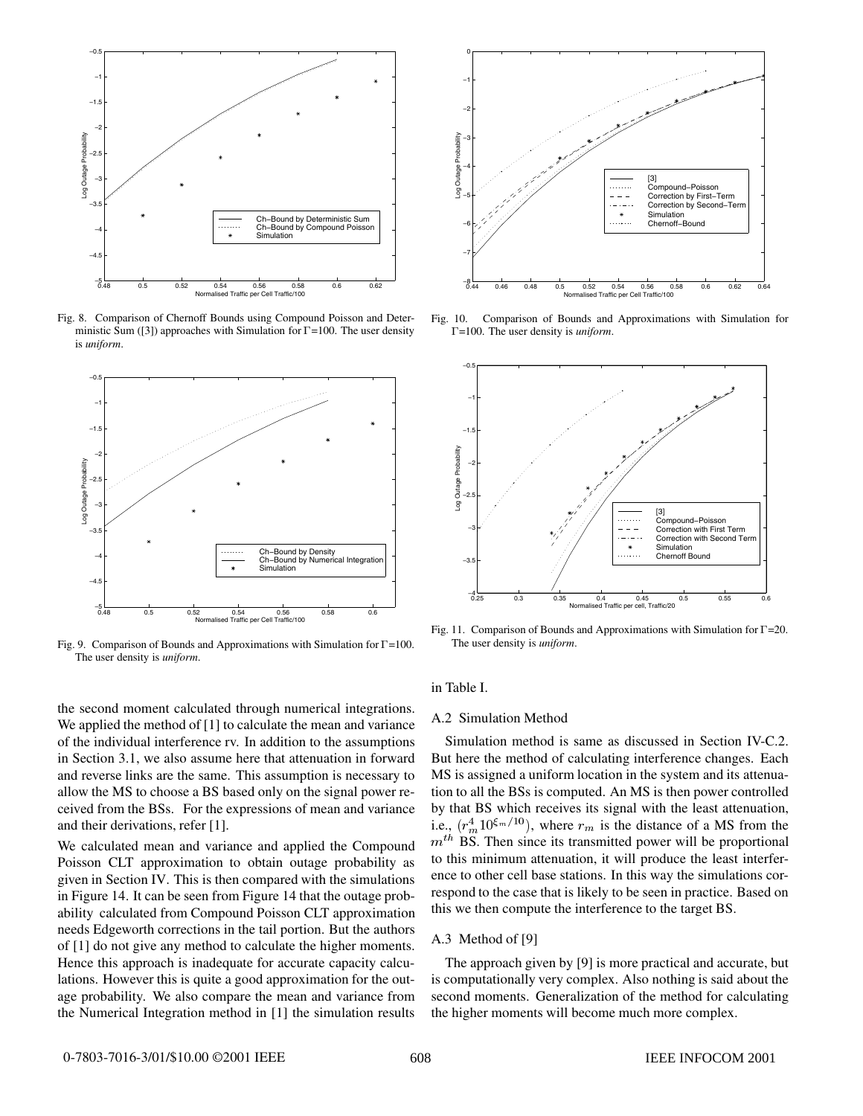

Fig. 8. Comparison of Chernoff Bounds using Compound Poisson and Deterministic Sum ([3]) approaches with Simulation for  $\Gamma$ =100. The user density is *uniform*.



Fig. 9. Comparison of Bounds and Approximations with Simulation for  $\Gamma$ =100. The user density is *uniform*.



Fig. 10. Comparison of Bounds and Approximations with Simulation for =100. The user density is *uniform*.



Fig. 11. Comparison of Bounds and Approximations with Simulation for  $\Gamma = 20$ . The user density is *uniform*.

# in Table I.

#### A.2 Simulation Method

Simulation method is same as discussed in Section IV-C.2. But here the method of calculating interference changes. Each MS is assigned a uniform location in the system and its attenuation to all the BSs is computed. An MS is then power controlled by that BS which receives its signal with the least attenuation, i.e.,  $(r_m^4 10^{\xi_m/10})$ , where  $r_m$  is the distance of a MS from the  $m<sup>th</sup>$  BS. Then since its transmitted power will be proportional to this minimum attenuation, it will produce the least interference to other cell base stations. In this way the simulations correspond to the case that is likely to be seen in practice. Based on this we then compute the interference to the target BS.

#### A.3 Method of [9]

The approach given by [9] is more practical and accurate, but is computationally very complex. Also nothing is said about the second moments. Generalization of the method for calculating the higher moments will become much more complex.

the second moment calculated through numerical integrations. We applied the method of [1] to calculate the mean and variance of the individual interference rv. In addition to the assumptions in Section 3.1, we also assume here that attenuation in forward and reverse links are the same. This assumption is necessary to allow the MS to choose a BS based only on the signal power received from the BSs. For the expressions of mean and variance and their derivations, refer [1].

We calculated mean and variance and applied the Compound Poisson CLT approximation to obtain outage probability as given in Section IV. This is then compared with the simulations in Figure 14. It can be seen from Figure 14 that the outage probability calculated from Compound Poisson CLT approximation needs Edgeworth corrections in the tail portion. But the authors of [1] do not give any method to calculate the higher moments. Hence this approach is inadequate for accurate capacity calculations. However this is quite a good approximation for the outage probability. We also compare the mean and variance from the Numerical Integration method in [1] the simulation results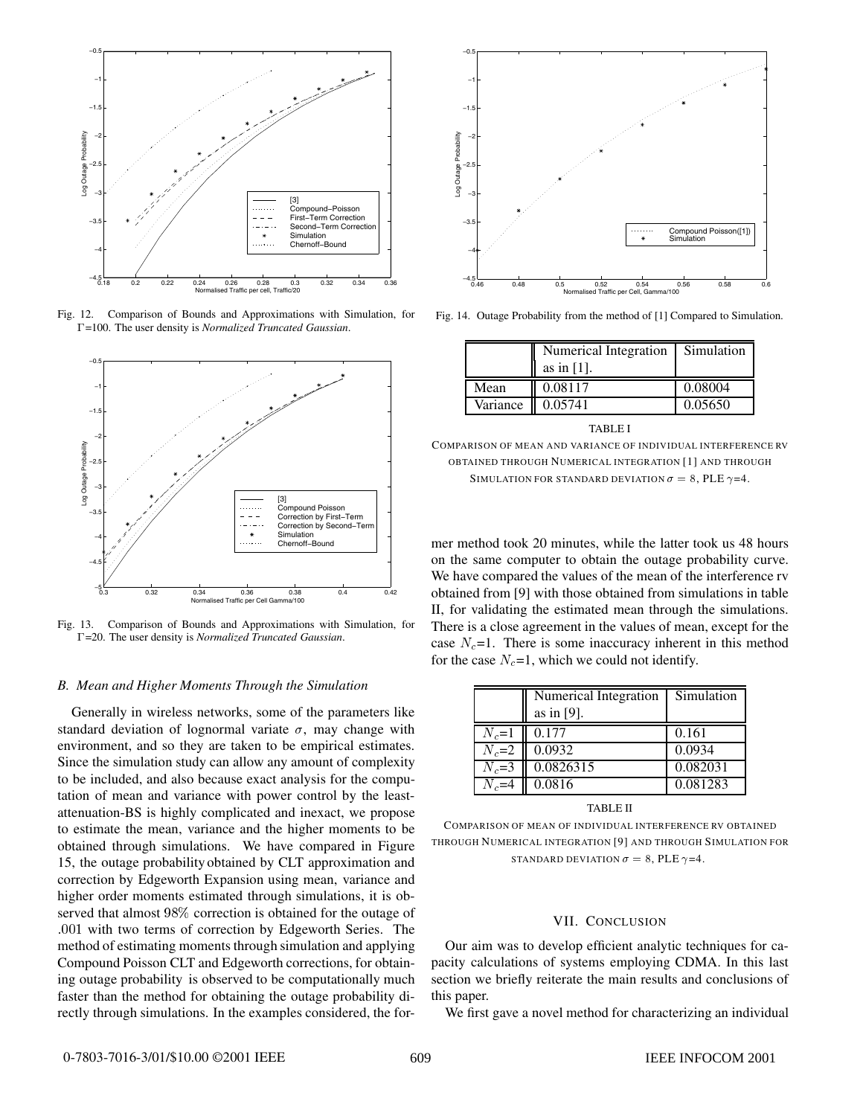

Fig. 12. Comparison of Bounds and Approximations with Simulation, for =100. The user density is *Normalized Truncated Gaussian*.



Fig. 13. Comparison of Bounds and Approximations with Simulation, for =20. The user density is *Normalized Truncated Gaussian*.

#### *B. Mean and Higher Moments Through the Simulation*

Generally in wireless networks, some of the parameters like standard deviation of lognormal variate  $\sigma$ , may change with environment, and so they are taken to be empirical estimates. Since the simulation study can allow any amount of complexity to be included, and also because exact analysis for the computation of mean and variance with power control by the leastattenuation-BS is highly complicated and inexact, we propose to estimate the mean, variance and the higher moments to be obtained through simulations. We have compared in Figure 15, the outage probability obtained by CLT approximation and correction by Edgeworth Expansion using mean, variance and higher order moments estimated through simulations, it is observed that almost 98% correction is obtained for the outage of :001 with two terms of correction by Edgeworth Series. The method of estimating moments through simulation and applying Compound Poisson CLT and Edgeworth corrections, for obtaining outage probability is observed to be computationally much faster than the method for obtaining the outage probability directly through simulations. In the examples considered, the for-



Fig. 14. Outage Probability from the method of [1] Compared to Simulation.

|          | Numerical Integration | Simulation |  |
|----------|-----------------------|------------|--|
|          | as in $[1]$ .         |            |  |
| Mean     | 0.08117               | 0.08004    |  |
| Variance | 0.05741               | 0.05650    |  |
| TABLE I  |                       |            |  |

COMPARISON OF MEAN AND VARIANCE OF INDIVIDUAL INTERFERENCE RV OBTAINED THROUGH NUMERICAL INTEGRATION [1] AND THROUGH SIMULATION FOR STANDARD DEVIATION  $\sigma = 8$ , PLE  $\gamma = 4$ .

mer method took 20 minutes, while the latter took us 48 hours on the same computer to obtain the outage probability curve. We have compared the values of the mean of the interference rv obtained from [9] with those obtained from simulations in table II, for validating the estimated mean through the simulations. There is a close agreement in the values of mean, except for the case  $N_c=1$ . There is some inaccuracy inherent in this method for the case  $N_c=1$ , which we could not identify.

|           | Numerical Integration | Simulation |
|-----------|-----------------------|------------|
|           | as in $[9]$ .         |            |
| $N_c=1$   | 0.177                 | 0.161      |
| $N_c=2$   | 0.0932                | 0.0934     |
| $N_c = 3$ | 0.0826315             | 0.082031   |
| $N_c=4$   | 0.0816                | 0.081283   |
|           |                       |            |

TABLE II

COMPARISON OF MEAN OF INDIVIDUAL INTERFERENCE RV OBTAINED THROUGH NUMERICAL INTEGRATION [9] AND THROUGH SIMULATION FOR STANDARD DEVIATION  $\sigma = 8$ , PLE  $\gamma = 4$ .

### VII. CONCLUSION

Our aim was to develop efficient analytic techniques for capacity calculations of systems employing CDMA. In this last section we briefly reiterate the main results and conclusions of this paper.

We first gave a novel method for characterizing an individual